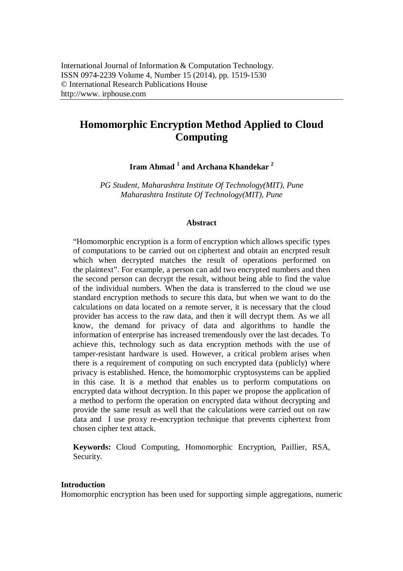# **Homomorphic Encryption Method Applied to Cloud Computing**

**Iram Ahmad <sup>1</sup> and Archana Khandekar <sup>2</sup>**

*PG Student, Maharashtra Institute Of Technology(MIT), Pune Maharashtra Institute Of Technology(MIT), Pune*

#### **Abstract**

"Homomorphic encryption is a form of encryption which allows specific types of computations to be carried out on ciphertext and obtain an encrpted result which when decrypted matches the result of operations performed on the plaintext". For example, a person can add two encrypted numbers and then the second person can decrypt the result, without being able to find the value of the individual numbers. When the data is transferred to the cloud we use standard encryption methods to secure this data, but when we want to do the calculations on data located on a remote server, it is necessary that the cloud provider has access to the raw data, and then it will decrypt them. As we all know, the demand for privacy of data and algorithms to handle the information of enterprise has increased tremendously over the last decades. To achieve this, technology such as data encryption methods with the use of tamper-resistant hardware is used. However, a critical problem arises when there is a requirement of computing on such encrypted data (publicly) where privacy is established. Hence, the homomorphic cryptosystems can be applied in this case. It is a method that enables us to perform computations on encrypted data without decryption. In this paper we propose the application of a method to perform the operation on encrypted data without decrypting and provide the same result as well that the calculations were carried out on raw data and I use proxy re-encryption technique that prevents ciphertext from chosen cipher text attack.

**Keywords:** Cloud Computing, Homomorphic Encryption, Paillier, RSA, Security.

#### **Introduction**

Homomorphic encryption has been used for supporting simple aggregations, numeric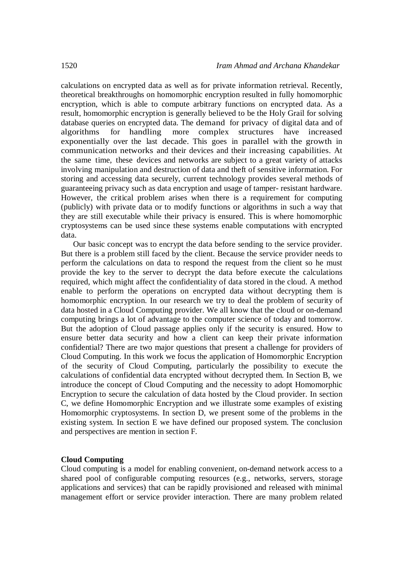calculations on encrypted data as well as for private information retrieval. Recently, theoretical breakthroughs on homomorphic encryption resulted in fully homomorphic encryption, which is able to compute arbitrary functions on encrypted data. As a result, homomorphic encryption is generally believed to be the Holy Grail for solving database queries on encrypted data. The demand for privacy of digital data and of algorithms for handling more complex structures have increased exponentially over the last decade. This goes in parallel with the growth in communication networks and their devices and their increasing capabilities. At the same time, these devices and networks are subject to a great variety of attacks involving manipulation and destruction of data and theft of sensitive information. For storing and accessing data securely, current technology provides several methods of guaranteeing privacy such as data encryption and usage of tamper- resistant hardware. However, the critical problem arises when there is a requirement for computing (publicly) with private data or to modify functions or algorithms in such a way that they are still executable while their privacy is ensured. This is where homomorphic cryptosystems can be used since these systems enable computations with encrypted data.

Our basic concept was to encrypt the data before sending to the service provider. But there is a problem still faced by the client. Because the service provider needs to perform the calculations on data to respond the request from the client so he must provide the key to the server to decrypt the data before execute the calculations required, which might affect the confidentiality of data stored in the cloud. A method enable to perform the operations on encrypted data without decrypting them is homomorphic encryption. In our research we try to deal the problem of security of data hosted in a Cloud Computing provider. We all know that the cloud or on-demand computing brings a lot of advantage to the computer science of today and tomorrow. But the adoption of Cloud passage applies only if the security is ensured. How to ensure better data security and how a client can keep their private information confidential? There are two major questions that present a challenge for providers of Cloud Computing. In this work we focus the application of Homomorphic Encryption of the security of Cloud Computing, particularly the possibility to execute the calculations of confidential data encrypted without decrypted them. In Section B, we introduce the concept of Cloud Computing and the necessity to adopt Homomorphic Encryption to secure the calculation of data hosted by the Cloud provider. In section C, we define Homomorphic Encryption and we illustrate some examples of existing Homomorphic cryptosystems. In section D, we present some of the problems in the existing system. In section E we have defined our proposed system. The conclusion and perspectives are mention in section F.

#### **Cloud Computing**

Cloud computing is a model for enabling convenient, on-demand network access to a shared pool of configurable computing resources (e.g., networks, servers, storage applications and services) that can be rapidly provisioned and released with minimal management effort or service provider interaction. There are many problem related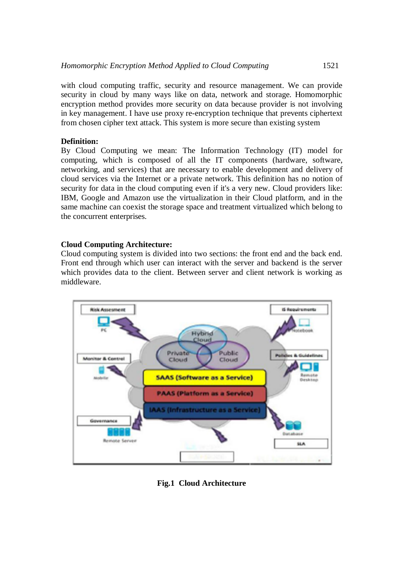with cloud computing traffic, security and resource management. We can provide security in cloud by many ways like on data, network and storage. Homomorphic encryption method provides more security on data because provider is not involving in key management. I have use proxy re-encryption technique that prevents ciphertext from chosen cipher text attack. This system is more secure than existing system

# **Definition:**

By Cloud Computing we mean: The Information Technology (IT) model for computing, which is composed of all the IT components (hardware, software, networking, and services) that are necessary to enable development and delivery of cloud services via the Internet or a private network. This definition has no notion of security for data in the cloud computing even if it's a very new. Cloud providers like: IBM, Google and Amazon use the virtualization in their Cloud platform, and in the same machine can coexist the storage space and treatment virtualized which belong to the concurrent enterprises.

# **Cloud Computing Architecture:**

Cloud computing system is divided into two sections: the front end and the back end. Front end through which user can interact with the server and backend is the server which provides data to the client. Between server and client network is working as middleware.



**Fig.1 Cloud Architecture**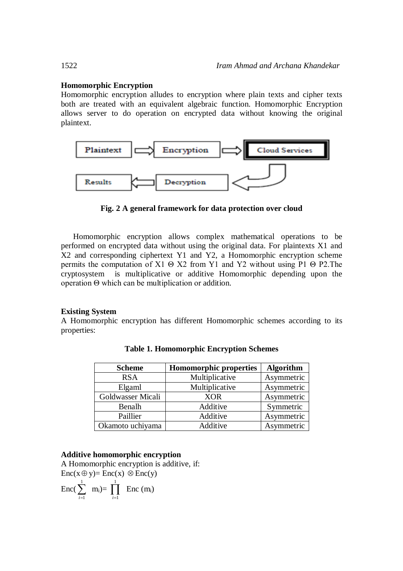# **Homomorphic Encryption**

Homomorphic encryption alludes to encryption where plain texts and cipher texts both are treated with an equivalent algebraic function. Homomorphic Encryption allows server to do operation on encrypted data without knowing the original plaintext.



**Fig. 2 A general framework for data protection over cloud**

Homomorphic encryption allows complex mathematical operations to be performed on encrypted data without using the original data. For plaintexts X1 and X2 and corresponding ciphertext Y1 and Y2, a Homomorphic encryption scheme permits the computation of X1  $\Theta$  X2 from Y1 and Y2 without using P1  $\Theta$  P2. The cryptosystem is multiplicative or additive Homomorphic depending upon the operation Θ which can be multiplication or addition.

# **Existing System**

A Homomorphic encryption has different Homomorphic schemes according to its properties:

| <b>Scheme</b>     | <b>Homomorphic properties</b> | <b>Algorithm</b> |
|-------------------|-------------------------------|------------------|
| <b>RSA</b>        | Multiplicative                | Asymmetric       |
| Elgaml            | Multiplicative                | Asymmetric       |
| Goldwasser Micali | <b>XOR</b>                    | Asymmetric       |
| Benalh            | Additive                      | Symmetric        |
| Paillier          | Additive                      | Asymmetric       |
| Okamoto uchiyama  | Additive                      | Asymmetric       |

**Table 1. Homomorphic Encryption Schemes**

#### **Additive homomorphic encryption**

A Homomorphic encryption is additive, if:  $Enc(x \oplus y) = Enc(x) \otimes Enc(y)$ 

$$
Enc(\sum_{i=1}^{1} m_i)=\prod_{i=1}^{1} Enc(m_i)
$$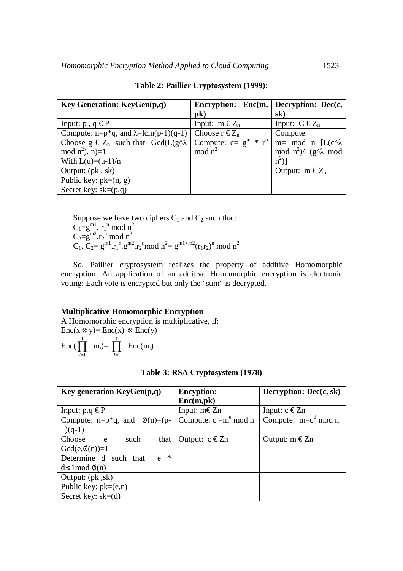| Key Generation: KeyGen(p,q)                                                   | Encryption: Enc(m, $ $ Decryption: Dec(c, |                                |
|-------------------------------------------------------------------------------|-------------------------------------------|--------------------------------|
|                                                                               | $pk$ )                                    | sk)                            |
| Input: $p$ , $q \in P$                                                        | Input: $m \in Z_n$                        | Input: $C \tisin Z_n$          |
| Compute: n=p*q, and $\lambda$ =lcm(p-1)(q-1)   Choose r $\epsilon Z_n$        |                                           | Compute:                       |
| Choose $g \in Z_n$ such that $Gcd(L(g^n \lambda \mid Compute: c = g^m * r^n)$ |                                           | $m=$ mod n [L(c^ $\lambda$ )   |
| mod $n^2$ ), n)=1                                                             | mod $n^2$                                 | mod $n^2$ )/L(g^ $\lambda$ mod |
| With $L(u)=(u-1)/n$                                                           |                                           | $n^2$ )                        |
| Output: $(pk, sk)$                                                            |                                           | Output: $m \in Z_n$            |
| Public key: $pk=(n, g)$                                                       |                                           |                                |
| Secret key: $sk=(p,q)$                                                        |                                           |                                |

**Table 2: Paillier Cryptosystem (1999):**

Suppose we have two ciphers  $C_1$  and  $C_2$  such that:  $C_1 = g^{m1}$ .  $r_1$ <sup>n</sup> mod n<sup>2</sup>  $C_2 = g^{m2} r_2^n \mod n^2$  $C_1$ .  $C_2 = g^{m1} \cdot r_1^{n} \cdot g^{m2} \cdot r_2^{n} \mod n^2 = g^{m1+m2} (r_1 r_2)^{n} \mod n^2$ 

So, Paillier cryptosystem realizes the property of additive Homomorphic encryption. An application of an additive Homomorphic encryption is electronic voting: Each vote is encrypted but only the "sum" is decrypted.

#### **Multiplicative Homomorphic Encryption**

A Homomorphic encryption is multiplicative, if:  $Enc(x \otimes y) = Enc(x) \otimes Enc(y)$ 

 $\text{Enc}(\prod_{i=1}^{1}$  $\prod_{i=1}^{1}$  **m**<sub>i</sub>)=  $\prod_{i=1}^{1}$  $i = 1$  $Enc(m_i)$ 

|  | Table 3: RSA Cryptosystem (1978) |  |
|--|----------------------------------|--|
|--|----------------------------------|--|

| <b>Key generation KeyGen(p,q)</b>     | <b>Encyption:</b>           | Decryption: $Dec(c, sk)$ |
|---------------------------------------|-----------------------------|--------------------------|
|                                       | Enc(m,pk)                   |                          |
| Input: $p,q \in P$                    | Input: $m \in \mathbb{Z}$ n | Input: $c \in Zn$        |
| Compute: $n=p^*q$ , and $\phi(n)=(p-$ | Compute: $c = me$ mod n     | Compute: $m=c^d \mod n$  |
| $1)(q-1)$                             |                             |                          |
| Choose<br>such<br>that<br>e           | Output: $c \in Zn$          | Output: $m \in Zn$       |
| $Gcd(e, \phi(n))=1$                   |                             |                          |
| $\ast$<br>Determine d such that<br>e  |                             |                          |
| $d \approx 1 \mod \phi(n)$            |                             |                          |
| Output: $(pk, sk)$                    |                             |                          |
| Public key: $pk=(e,n)$                |                             |                          |
| Secret key: $sk=(d)$                  |                             |                          |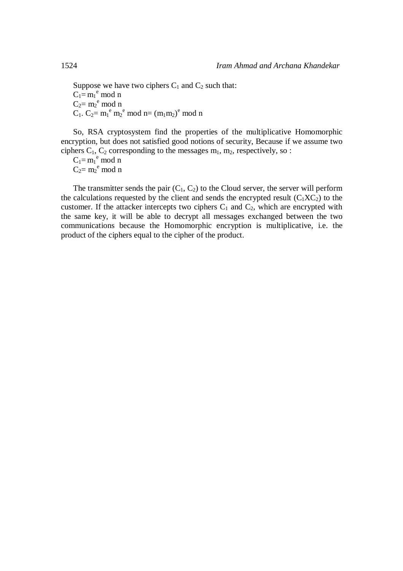Suppose we have two ciphers  $C_1$  and  $C_2$  such that:  $C_1 = m_1^e \mod n$  $C_2 = m_2^{\text{e}}$  mod n  $C_1$ .  $C_2 = m_1^e m_2^e$  mod n=  $(m_1m_2)^e$  mod n

So, RSA cryptosystem find the properties of the multiplicative Homomorphic encryption, but does not satisfied good notions of security, Because if we assume two ciphers  $C_1$ ,  $C_2$  corresponding to the messages  $m_1$ ,  $m_2$ , respectively, so :

 $C_1 = m_1^e \mod n$  $C_2 = m_2^{\text{e}}$  mod n

The transmitter sends the pair  $(C_1, C_2)$  to the Cloud server, the server will perform the calculations requested by the client and sends the encrypted result  $(C_1XC_2)$  to the customer. If the attacker intercepts two ciphers  $C_1$  and  $C_2$ , which are encrypted with the same key, it will be able to decrypt all messages exchanged between the two communications because the Homomorphic encryption is multiplicative, i.e. the product of the ciphers equal to the cipher of the product.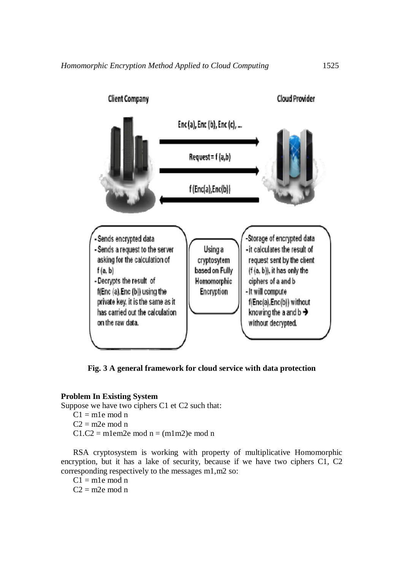

**Fig. 3 A general framework for cloud service with data protection**

# **Problem In Existing System**

Suppose we have two ciphers C1 et C2 such that:

 $C1 = m1e \mod n$  $C2 = m2e \mod n$  $C1.C2 = m1em2e mod n = (m1m2)e mod n$ 

RSA cryptosystem is working with property of multiplicative Homomorphic encryption, but it has a lake of security, because if we have two ciphers C1, C2 corresponding respectively to the messages m1,m2 so:

 $Cl = m1e \mod n$  $C2 \equiv m2e \mod n$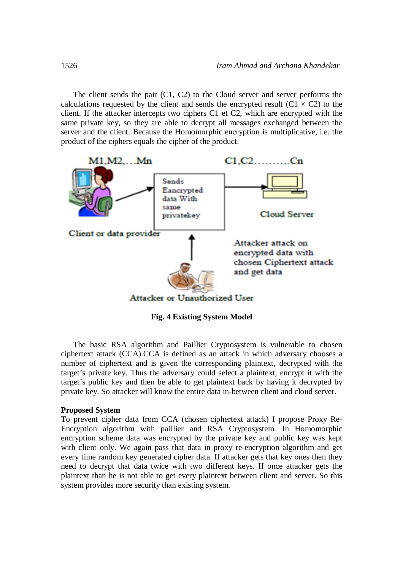The client sends the pair (C1, C2) to the Cloud server and server performs the calculations requested by the client and sends the encrypted result ( $C1 \times C2$ ) to the client. If the attacker intercepts two ciphers C1 et C2, which are encrypted with the same private key, so they are able to decrypt all messages exchanged between the server and the client. Because the Homomorphic encryption is multiplicative, i.e. the product of the ciphers equals the cipher of the product.



**Fig. 4 Existing System Model**

The basic RSA algorithm and Paillier Cryptosystem is vulnerable to chosen ciphertext attack (CCA).CCA is defined as an attack in which adversary chooses a number of ciphertext and is given the corresponding plaintext, decrypted with the target's private key. Thus the adversary could select a plaintext, encrypt it with the target's public key and then be able to get plaintext back by having it decrypted by private key. So attacker will know the entire data in-between client and cloud server.

#### **Proposed System**

To prevent cipher data from CCA (chosen ciphertext attack) I propose Proxy Re-Encryption algorithm with paillier and RSA Cryptosystem. In Homomorphic encryption scheme data was encrypted by the private key and public key was kept with client only. We again pass that data in proxy re-encryption algorithm and get every time random key generated cipher data. If attacker gets that key ones then they need to decrypt that data twice with two different keys. If once attacker gets the plaintext than he is not able to get every plaintext between client and server. So this system provides more security than existing system.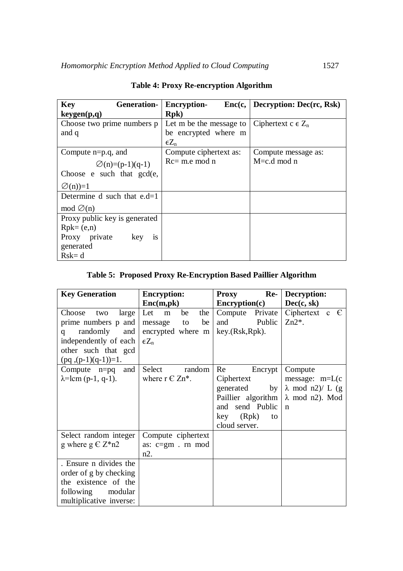| <b>Key</b><br><b>Generation-</b> | <b>Encryption-</b>                               | Enc(c,   Decryption: Dec(rc, Rsk)) |  |
|----------------------------------|--------------------------------------------------|------------------------------------|--|
| keygen(p,q)                      | <b>Rpk</b> )                                     |                                    |  |
| Choose two prime numbers p       | Let m be the message to   Ciphertext c $\in Z_n$ |                                    |  |
| and q                            | be encrypted where m                             |                                    |  |
|                                  | $\epsilon Z_{n}$                                 |                                    |  |
| Compute $n=p.q$ , and            | Compute ciphertext as:                           | Compute message as:                |  |
| $\varnothing$ (n)=(p-1)(q-1)     | $Rc = m.e$ mod n                                 | $M = c.d \mod n$                   |  |
| Choose $e$ such that $gcd(e,$    |                                                  |                                    |  |
| $\varnothing$ (n)=1              |                                                  |                                    |  |
| Determine d such that $e.d=1$    |                                                  |                                    |  |
| mod $\varnothing$ (n)            |                                                  |                                    |  |
| Proxy public key is generated    |                                                  |                                    |  |
| $Rpk = (e,n)$                    |                                                  |                                    |  |
| Proxy private key<br>1S          |                                                  |                                    |  |
| generated                        |                                                  |                                    |  |
| $Rsk = d$                        |                                                  |                                    |  |

# **Table 4: Proxy Re-encryption Algorithm**

# **Table 5: Proposed Proxy Re-Encryption Based Paillier Algorithm**

| <b>Key Generation</b>       | <b>Encryption:</b>    | Re-<br><b>Proxy</b>          | Decryption:              |
|-----------------------------|-----------------------|------------------------------|--------------------------|
|                             | Enc(m,pk)             | <b>Encryption(c)</b>         | Dec(c, sk)               |
| Choose<br>large<br>two      | Let<br>the<br>be<br>m | Compute Private              | Ciphertext c $\epsilon$  |
| prime numbers p and         | be<br>message to      | and Public                   | $Zn2^*$ .                |
| randomly<br>and<br>q        | encrypted where m     | key.(Rsk, Rpk).              |                          |
| independently of each       | $\epsilon Z_n$        |                              |                          |
| other such that gcd         |                       |                              |                          |
| $(pq, (p-1)(q-1))=1.$       |                       |                              |                          |
| Compute $n=pq$ and          | Select<br>random      | Re<br>Encrypt                | Compute                  |
| $\lambda =$ lcm (p-1, q-1). | where $r \in Zn^*$ .  | Ciphertext                   | message: $m=L(c)$        |
|                             |                       | generated<br>by <sub>1</sub> | $\lambda$ mod n2)/ L (g) |
|                             |                       | Paillier algorithm           | $\lambda$ mod n2). Mod   |
|                             |                       | and send Public              | $\mathbf n$              |
|                             |                       | key (Rpk)<br>to              |                          |
|                             |                       | cloud server.                |                          |
| Select random integer       | Compute ciphertext    |                              |                          |
| g where $g \in Z^*n2$       | as: c=gm . rn mod     |                              |                          |
|                             | $n2$ .                |                              |                          |
| . Ensure n divides the      |                       |                              |                          |
| order of g by checking      |                       |                              |                          |
| the existence of the        |                       |                              |                          |
| following modular           |                       |                              |                          |
| multiplicative inverse:     |                       |                              |                          |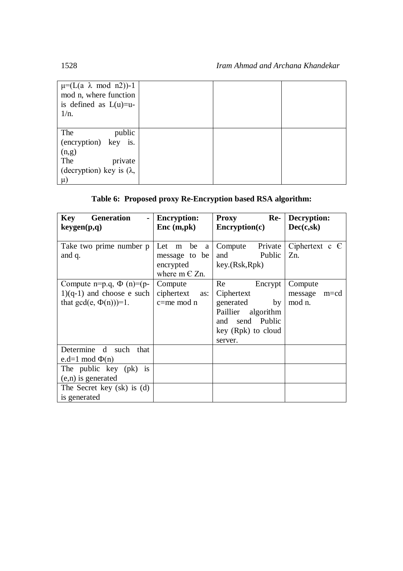| $\mu=(L(a \lambda \mod n2))$ -1<br>mod n, where function<br>is defined as $L(u)=u$ -<br>$1/n$ . |  |  |
|-------------------------------------------------------------------------------------------------|--|--|
| The<br>public                                                                                   |  |  |
| (encryption) key is.                                                                            |  |  |
| (n,g)                                                                                           |  |  |
| The<br>private                                                                                  |  |  |
| (decryption) key is $(\lambda,$                                                                 |  |  |
| $\mu$                                                                                           |  |  |

# **Table 6: Proposed proxy Re-Encryption based RSA algorithm:**

| <b>Generation</b><br><b>Key</b><br>keygen(p,q) | <b>Encryption:</b><br>Enc (m,pk) | <b>Proxy</b><br>$Re-$<br>$\mathbf{Encryption}(\mathbf{c})$ | Decryption:<br>Dec(c, sk) |
|------------------------------------------------|----------------------------------|------------------------------------------------------------|---------------------------|
|                                                |                                  |                                                            |                           |
| Take two prime number p                        | Let m be<br><sub>a</sub>         | Compute Private                                            | Ciphertext c $\epsilon$   |
| and q.                                         | message to be                    | and Public                                                 | Zn.                       |
|                                                | encrypted                        | key.(Rsk, Rpk)                                             |                           |
|                                                | where $m \in Zn$ .               |                                                            |                           |
| Compute n=p.q, $\Phi$ (n)=(p-                  | Compute                          | Re<br>Encrypt                                              | Compute                   |
| $1)(q-1)$ and choose e such                    | ciphertext<br>as:                | Ciphertext                                                 | message<br>$m = cd$       |
| that $gcd(e, \Phi(n))=1$ .                     | $c = me$ mod n                   | generated<br>by                                            | mod n.                    |
|                                                |                                  | Paillier algorithm                                         |                           |
|                                                |                                  | and send Public                                            |                           |
|                                                |                                  | key (Rpk) to cloud                                         |                           |
|                                                |                                  | server.                                                    |                           |
| Determine d such that                          |                                  |                                                            |                           |
| e.d=1 mod $\Phi(n)$                            |                                  |                                                            |                           |
| The public key (pk) is                         |                                  |                                                            |                           |
| $(e, n)$ is generated                          |                                  |                                                            |                           |
| The Secret key (sk) is (d)                     |                                  |                                                            |                           |
| is generated                                   |                                  |                                                            |                           |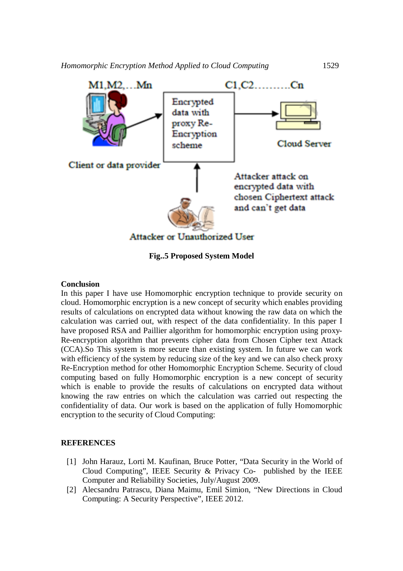

**Fig..5 Proposed System Model**

#### **Conclusion**

In this paper I have use Homomorphic encryption technique to provide security on cloud. Homomorphic encryption is a new concept of security which enables providing results of calculations on encrypted data without knowing the raw data on which the calculation was carried out, with respect of the data confidentiality. In this paper I have proposed RSA and Paillier algorithm for homomorphic encryption using proxy-Re-encryption algorithm that prevents cipher data from Chosen Cipher text Attack (CCA).So This system is more secure than existing system. In future we can work with efficiency of the system by reducing size of the key and we can also check proxy Re-Encryption method for other Homomorphic Encryption Scheme. Security of cloud computing based on fully Homomorphic encryption is a new concept of security which is enable to provide the results of calculations on encrypted data without knowing the raw entries on which the calculation was carried out respecting the confidentiality of data. Our work is based on the application of fully Homomorphic encryption to the security of Cloud Computing:

#### **REFERENCES**

- [1] John Harauz, Lorti M. Kaufinan, Bruce Potter, "Data Security in the World of Cloud Computing", IEEE Security & Privacy Co- published by the IEEE Computer and Reliability Societies, July/August 2009.
- [2] Alecsandru Patrascu, Diana Maimu, Emil Simion, "New Directions in Cloud Computing: A Security Perspective", IEEE 2012.